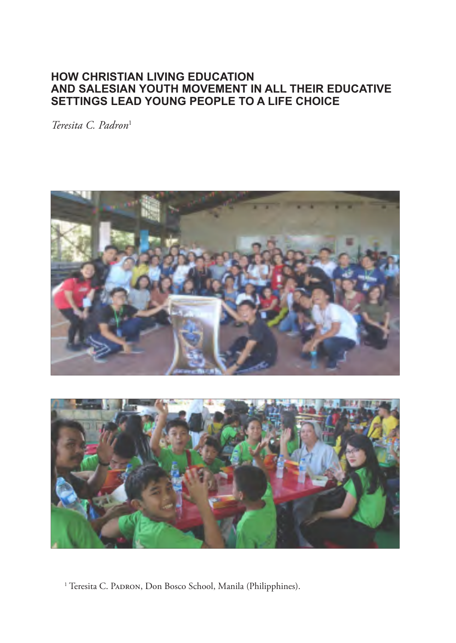## **HOW CHRISTIAN LIVING EDUCATION AND SALESIAN YOUTH MOVEMENT IN ALL THEIR EDUCATIVE SETTINGS LEAD YOUNG PEOPLE TO A LIFE CHOICE**

*Teresita C. Padron*<sup>1</sup>





<sup>1</sup> Teresita C. PADRON, Don Bosco School, Manila (Philipphines).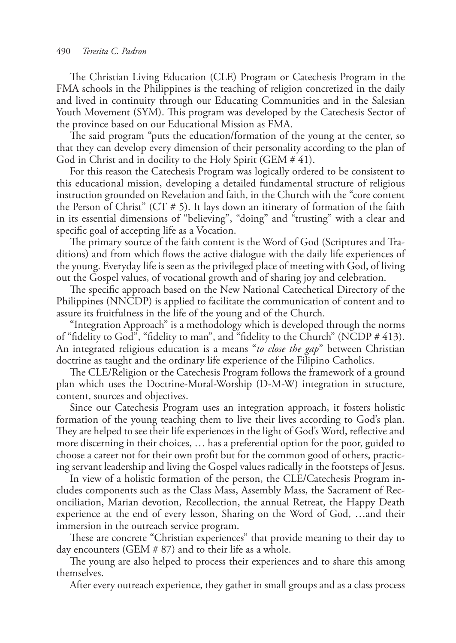The Christian Living Education (CLE) Program or Catechesis Program in the FMA schools in the Philippines is the teaching of religion concretized in the daily and lived in continuity through our Educating Communities and in the Salesian Youth Movement (SYM). This program was developed by the Catechesis Sector of the province based on our Educational Mission as FMA.

The said program "puts the education/formation of the young at the center, so that they can develop every dimension of their personality according to the plan of God in Christ and in docility to the Holy Spirit (GEM # 41).

For this reason the Catechesis Program was logically ordered to be consistent to this educational mission, developing a detailed fundamental structure of religious instruction grounded on Revelation and faith, in the Church with the "core content the Person of Christ" (CT  $# 5$ ). It lays down an itinerary of formation of the faith in its essential dimensions of "believing", "doing" and "trusting" with a clear and specific goal of accepting life as a Vocation.

The primary source of the faith content is the Word of God (Scriptures and Traditions) and from which flows the active dialogue with the daily life experiences of the young. Everyday life is seen as the privileged place of meeting with God, of living out the Gospel values, of vocational growth and of sharing joy and celebration.

The specific approach based on the New National Catechetical Directory of the Philippines (NNCDP) is applied to facilitate the communication of content and to assure its fruitfulness in the life of the young and of the Church.

"Integration Approach" is a methodology which is developed through the norms of "fidelity to God", "fidelity to man", and "fidelity to the Church" (NCDP # 413). An integrated religious education is a means "*to close the gap*" between Christian doctrine as taught and the ordinary life experience of the Filipino Catholics.

The CLE/Religion or the Catechesis Program follows the framework of a ground plan which uses the Doctrine-Moral-Worship (D-M-W) integration in structure, content, sources and objectives.

Since our Catechesis Program uses an integration approach, it fosters holistic formation of the young teaching them to live their lives according to God's plan. They are helped to see their life experiences in the light of God's Word, reflective and more discerning in their choices, … has a preferential option for the poor, guided to choose a career not for their own profit but for the common good of others, practicing servant leadership and living the Gospel values radically in the footsteps of Jesus.

In view of a holistic formation of the person, the CLE/Catechesis Program includes components such as the Class Mass, Assembly Mass, the Sacrament of Reconciliation, Marian devotion, Recollection, the annual Retreat, the Happy Death experience at the end of every lesson, Sharing on the Word of God, …and their immersion in the outreach service program.

These are concrete "Christian experiences" that provide meaning to their day to day encounters (GEM # 87) and to their life as a whole.

The young are also helped to process their experiences and to share this among themselves.

After every outreach experience, they gather in small groups and as a class process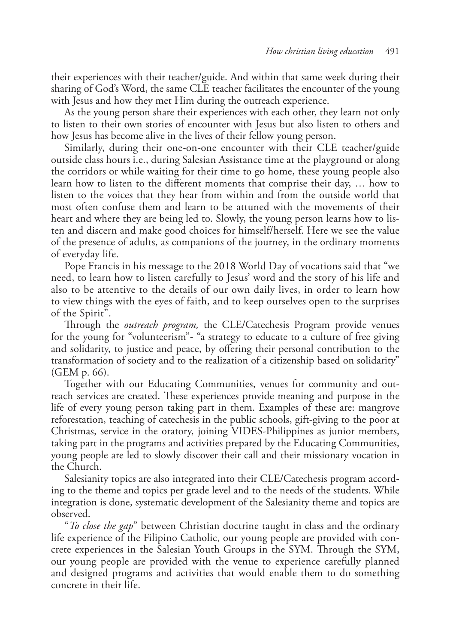their experiences with their teacher/guide. And within that same week during their sharing of God's Word, the same CLE teacher facilitates the encounter of the young with Jesus and how they met Him during the outreach experience.

As the young person share their experiences with each other, they learn not only to listen to their own stories of encounter with Jesus but also listen to others and how Jesus has become alive in the lives of their fellow young person.

Similarly, during their one-on-one encounter with their CLE teacher/guide outside class hours i.e., during Salesian Assistance time at the playground or along the corridors or while waiting for their time to go home, these young people also learn how to listen to the different moments that comprise their day, … how to listen to the voices that they hear from within and from the outside world that most often confuse them and learn to be attuned with the movements of their heart and where they are being led to. Slowly, the young person learns how to listen and discern and make good choices for himself/herself. Here we see the value of the presence of adults, as companions of the journey, in the ordinary moments of everyday life.

Pope Francis in his message to the 2018 World Day of vocations said that "we need, to learn how to listen carefully to Jesus' word and the story of his life and also to be attentive to the details of our own daily lives, in order to learn how to view things with the eyes of faith, and to keep ourselves open to the surprises of the Spirit".

Through the *outreach program,* the CLE/Catechesis Program provide venues for the young for "volunteerism"- "a strategy to educate to a culture of free giving and solidarity, to justice and peace, by offering their personal contribution to the transformation of society and to the realization of a citizenship based on solidarity" (GEM p. 66).

Together with our Educating Communities, venues for community and outreach services are created. These experiences provide meaning and purpose in the life of every young person taking part in them. Examples of these are: mangrove reforestation, teaching of catechesis in the public schools, gift-giving to the poor at Christmas, service in the oratory, joining VIDES-Philippines as junior members, taking part in the programs and activities prepared by the Educating Communities, young people are led to slowly discover their call and their missionary vocation in the Church.

Salesianity topics are also integrated into their CLE/Catechesis program according to the theme and topics per grade level and to the needs of the students. While integration is done, systematic development of the Salesianity theme and topics are observed.

"*To close the gap*" between Christian doctrine taught in class and the ordinary life experience of the Filipino Catholic, our young people are provided with concrete experiences in the Salesian Youth Groups in the SYM. Through the SYM, our young people are provided with the venue to experience carefully planned and designed programs and activities that would enable them to do something concrete in their life.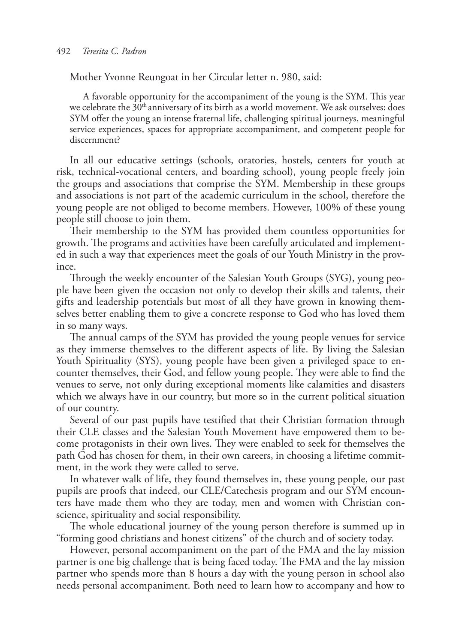Mother Yvonne Reungoat in her Circular letter n. 980, said:

A favorable opportunity for the accompaniment of the young is the SYM. This year we celebrate the 30<sup>th</sup> anniversary of its birth as a world movement. We ask ourselves: does SYM offer the young an intense fraternal life, challenging spiritual journeys, meaningful service experiences, spaces for appropriate accompaniment, and competent people for discernment?

In all our educative settings (schools, oratories, hostels, centers for youth at risk, technical-vocational centers, and boarding school), young people freely join the groups and associations that comprise the SYM. Membership in these groups and associations is not part of the academic curriculum in the school, therefore the young people are not obliged to become members. However, 100% of these young people still choose to join them.

Their membership to the SYM has provided them countless opportunities for growth. The programs and activities have been carefully articulated and implemented in such a way that experiences meet the goals of our Youth Ministry in the province.

Through the weekly encounter of the Salesian Youth Groups (SYG), young people have been given the occasion not only to develop their skills and talents, their gifts and leadership potentials but most of all they have grown in knowing themselves better enabling them to give a concrete response to God who has loved them in so many ways.

The annual camps of the SYM has provided the young people venues for service as they immerse themselves to the different aspects of life. By living the Salesian Youth Spirituality (SYS), young people have been given a privileged space to encounter themselves, their God, and fellow young people. They were able to find the venues to serve, not only during exceptional moments like calamities and disasters which we always have in our country, but more so in the current political situation of our country.

Several of our past pupils have testified that their Christian formation through their CLE classes and the Salesian Youth Movement have empowered them to become protagonists in their own lives. They were enabled to seek for themselves the path God has chosen for them, in their own careers, in choosing a lifetime commitment, in the work they were called to serve.

In whatever walk of life, they found themselves in, these young people, our past pupils are proofs that indeed, our CLE/Catechesis program and our SYM encounters have made them who they are today, men and women with Christian conscience, spirituality and social responsibility.

The whole educational journey of the young person therefore is summed up in "forming good christians and honest citizens" of the church and of society today.

However, personal accompaniment on the part of the FMA and the lay mission partner is one big challenge that is being faced today. The FMA and the lay mission partner who spends more than 8 hours a day with the young person in school also needs personal accompaniment. Both need to learn how to accompany and how to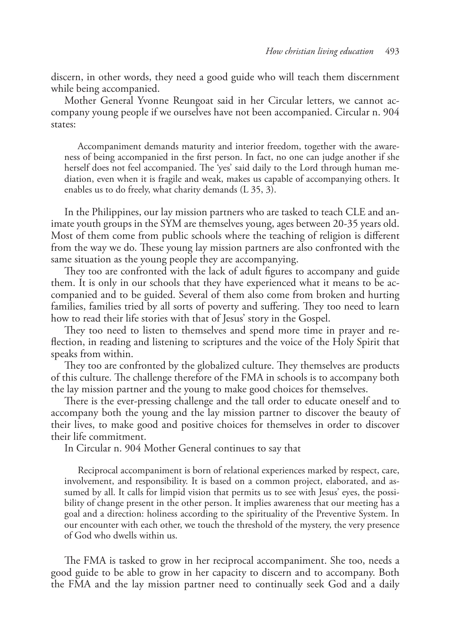discern, in other words, they need a good guide who will teach them discernment while being accompanied.

Mother General Yvonne Reungoat said in her Circular letters, we cannot accompany young people if we ourselves have not been accompanied. Circular n. 904 states:

Accompaniment demands maturity and interior freedom, together with the awareness of being accompanied in the first person. In fact, no one can judge another if she herself does not feel accompanied. The 'yes' said daily to the Lord through human mediation, even when it is fragile and weak, makes us capable of accompanying others. It enables us to do freely, what charity demands (L 35, 3).

In the Philippines, our lay mission partners who are tasked to teach CLE and animate youth groups in the SYM are themselves young, ages between 20-35 years old. Most of them come from public schools where the teaching of religion is different from the way we do. These young lay mission partners are also confronted with the same situation as the young people they are accompanying.

They too are confronted with the lack of adult figures to accompany and guide them. It is only in our schools that they have experienced what it means to be accompanied and to be guided. Several of them also come from broken and hurting families, families tried by all sorts of poverty and suffering. They too need to learn how to read their life stories with that of Jesus' story in the Gospel.

They too need to listen to themselves and spend more time in prayer and reflection, in reading and listening to scriptures and the voice of the Holy Spirit that speaks from within.

They too are confronted by the globalized culture. They themselves are products of this culture. The challenge therefore of the FMA in schools is to accompany both the lay mission partner and the young to make good choices for themselves.

There is the ever-pressing challenge and the tall order to educate oneself and to accompany both the young and the lay mission partner to discover the beauty of their lives, to make good and positive choices for themselves in order to discover their life commitment.

In Circular n. 904 Mother General continues to say that

Reciprocal accompaniment is born of relational experiences marked by respect, care, involvement, and responsibility. It is based on a common project, elaborated, and assumed by all. It calls for limpid vision that permits us to see with Jesus' eyes, the possibility of change present in the other person. It implies awareness that our meeting has a goal and a direction: holiness according to the spirituality of the Preventive System. In our encounter with each other, we touch the threshold of the mystery, the very presence of God who dwells within us.

The FMA is tasked to grow in her reciprocal accompaniment. She too, needs a good guide to be able to grow in her capacity to discern and to accompany. Both the FMA and the lay mission partner need to continually seek God and a daily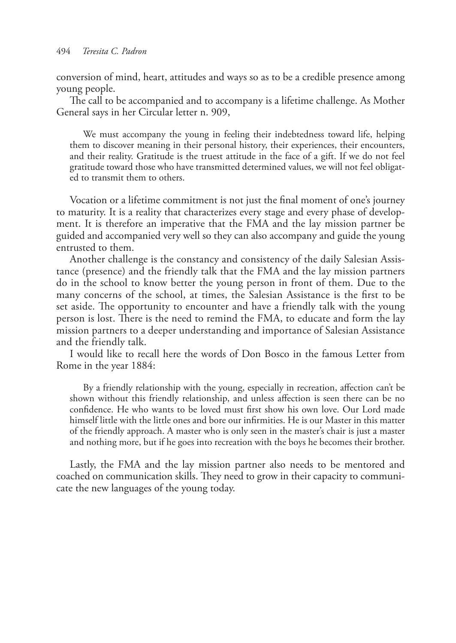conversion of mind, heart, attitudes and ways so as to be a credible presence among young people.

The call to be accompanied and to accompany is a lifetime challenge. As Mother General says in her Circular letter n. 909,

We must accompany the young in feeling their indebtedness toward life, helping them to discover meaning in their personal history, their experiences, their encounters, and their reality. Gratitude is the truest attitude in the face of a gift. If we do not feel gratitude toward those who have transmitted determined values, we will not feel obligated to transmit them to others.

Vocation or a lifetime commitment is not just the final moment of one's journey to maturity. It is a reality that characterizes every stage and every phase of development. It is therefore an imperative that the FMA and the lay mission partner be guided and accompanied very well so they can also accompany and guide the young entrusted to them.

Another challenge is the constancy and consistency of the daily Salesian Assistance (presence) and the friendly talk that the FMA and the lay mission partners do in the school to know better the young person in front of them. Due to the many concerns of the school, at times, the Salesian Assistance is the first to be set aside. The opportunity to encounter and have a friendly talk with the young person is lost. There is the need to remind the FMA, to educate and form the lay mission partners to a deeper understanding and importance of Salesian Assistance and the friendly talk.

I would like to recall here the words of Don Bosco in the famous Letter from Rome in the year 1884:

By a friendly relationship with the young, especially in recreation, affection can't be shown without this friendly relationship, and unless affection is seen there can be no confidence. He who wants to be loved must first show his own love. Our Lord made himself little with the little ones and bore our infirmities. He is our Master in this matter of the friendly approach. A master who is only seen in the master's chair is just a master and nothing more, but if he goes into recreation with the boys he becomes their brother.

Lastly, the FMA and the lay mission partner also needs to be mentored and coached on communication skills. They need to grow in their capacity to communicate the new languages of the young today.